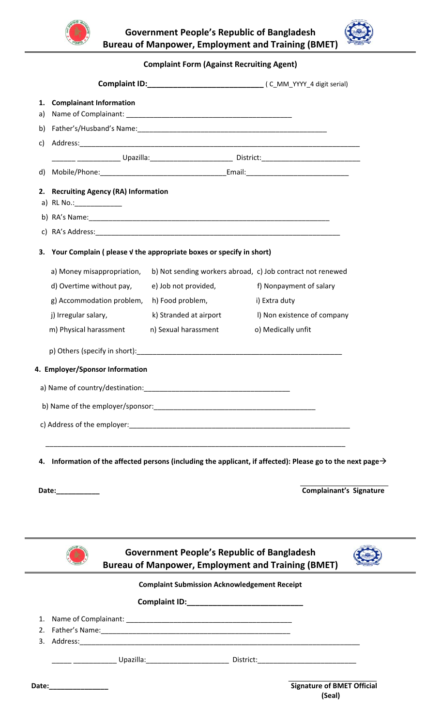



## **Complaint Form (Against Recruiting Agent)**

| 1.<br>a)                                                                                                                                                                                                                      | <b>Complainant Information</b>                                                                            |                                                     |                                                                                                                                                        |  |  |  |
|-------------------------------------------------------------------------------------------------------------------------------------------------------------------------------------------------------------------------------|-----------------------------------------------------------------------------------------------------------|-----------------------------------------------------|--------------------------------------------------------------------------------------------------------------------------------------------------------|--|--|--|
| b)                                                                                                                                                                                                                            |                                                                                                           |                                                     |                                                                                                                                                        |  |  |  |
| C)                                                                                                                                                                                                                            |                                                                                                           |                                                     |                                                                                                                                                        |  |  |  |
|                                                                                                                                                                                                                               | ______ _______________ Upazilla:_____________________________ District:__________________________________ |                                                     |                                                                                                                                                        |  |  |  |
| d)                                                                                                                                                                                                                            |                                                                                                           |                                                     |                                                                                                                                                        |  |  |  |
|                                                                                                                                                                                                                               | 2. Recruiting Agency (RA) Information<br>a) RL No.: ______________                                        |                                                     |                                                                                                                                                        |  |  |  |
|                                                                                                                                                                                                                               |                                                                                                           |                                                     |                                                                                                                                                        |  |  |  |
|                                                                                                                                                                                                                               |                                                                                                           |                                                     |                                                                                                                                                        |  |  |  |
| 3.                                                                                                                                                                                                                            | Your Complain (please V the appropriate boxes or specify in short)                                        |                                                     |                                                                                                                                                        |  |  |  |
|                                                                                                                                                                                                                               | a) Money misappropriation,                                                                                |                                                     | b) Not sending workers abroad, c) Job contract not renewed                                                                                             |  |  |  |
|                                                                                                                                                                                                                               | d) Overtime without pay,                                                                                  | e) Job not provided,                                | f) Nonpayment of salary                                                                                                                                |  |  |  |
|                                                                                                                                                                                                                               | g) Accommodation problem,                                                                                 | h) Food problem,                                    | i) Extra duty                                                                                                                                          |  |  |  |
|                                                                                                                                                                                                                               | j) Irregular salary,                                                                                      | k) Stranded at airport                              | I) Non existence of company                                                                                                                            |  |  |  |
|                                                                                                                                                                                                                               | m) Physical harassment                                                                                    | n) Sexual harassment                                | o) Medically unfit                                                                                                                                     |  |  |  |
|                                                                                                                                                                                                                               |                                                                                                           |                                                     |                                                                                                                                                        |  |  |  |
|                                                                                                                                                                                                                               | 4. Employer/Sponsor Information                                                                           |                                                     |                                                                                                                                                        |  |  |  |
|                                                                                                                                                                                                                               |                                                                                                           |                                                     |                                                                                                                                                        |  |  |  |
|                                                                                                                                                                                                                               |                                                                                                           |                                                     |                                                                                                                                                        |  |  |  |
|                                                                                                                                                                                                                               |                                                                                                           |                                                     |                                                                                                                                                        |  |  |  |
|                                                                                                                                                                                                                               |                                                                                                           |                                                     |                                                                                                                                                        |  |  |  |
|                                                                                                                                                                                                                               |                                                                                                           |                                                     |                                                                                                                                                        |  |  |  |
| 4.                                                                                                                                                                                                                            | Date:___________                                                                                          |                                                     | Information of the affected persons (including the applicant, if affected): Please go to the next page $\rightarrow$<br><b>Complainant's Signature</b> |  |  |  |
| <b>Government People's Republic of Bangladesh</b><br><b>Bureau of Manpower, Employment and Training (BMET)</b>                                                                                                                |                                                                                                           |                                                     |                                                                                                                                                        |  |  |  |
|                                                                                                                                                                                                                               |                                                                                                           | <b>Complaint Submission Acknowledgement Receipt</b> |                                                                                                                                                        |  |  |  |
| Complaint ID: Note that the set of the set of the set of the set of the set of the set of the set of the set of the set of the set of the set of the set of the set of the set of the set of the set of the set of the set of |                                                                                                           |                                                     |                                                                                                                                                        |  |  |  |
| 1.                                                                                                                                                                                                                            |                                                                                                           |                                                     |                                                                                                                                                        |  |  |  |
| 2.                                                                                                                                                                                                                            |                                                                                                           |                                                     |                                                                                                                                                        |  |  |  |
| 3.                                                                                                                                                                                                                            |                                                                                                           |                                                     |                                                                                                                                                        |  |  |  |
|                                                                                                                                                                                                                               |                                                                                                           |                                                     | _____ _____________ Upazilla:_________________________ District:___________________________________                                                    |  |  |  |
|                                                                                                                                                                                                                               |                                                                                                           |                                                     |                                                                                                                                                        |  |  |  |
|                                                                                                                                                                                                                               | Date: _______________                                                                                     |                                                     | <b>Signature of BMET Official</b><br>(Seal)                                                                                                            |  |  |  |